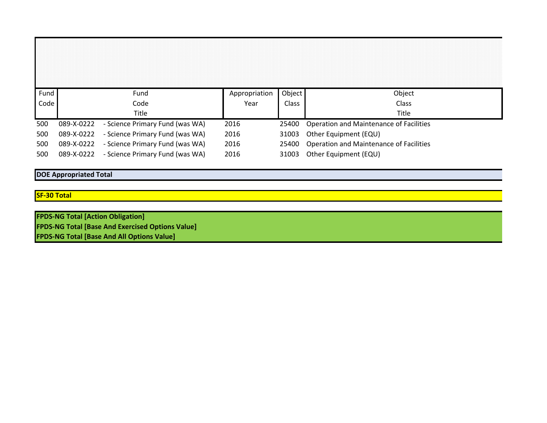| Fund |            | Fund                            | Appropriation | Object | Object                                        |
|------|------------|---------------------------------|---------------|--------|-----------------------------------------------|
| Code |            | Code                            | Year          | Class  | Class                                         |
|      |            | Title                           |               |        | Title                                         |
|      |            |                                 |               |        |                                               |
| 500  | 089-X-0222 | - Science Primary Fund (was WA) | 2016          | 25400  | Operation and Maintenance of Facilities       |
| 500  | 089-X-0222 | - Science Primary Fund (was WA) | 2016          | 31003  | Other Equipment (EQU)                         |
| 500  | 089-X-0222 | - Science Primary Fund (was WA) | 2016          |        | 25400 Operation and Maintenance of Facilities |
| 500  | 089-X-0222 | - Science Primary Fund (was WA) | 2016          | 31003  | Other Equipment (EQU)                         |

## **DOE Appropriated Total**

## **SF-30 Total**

**FPDS-NG Total [Action Obligation] FPDS-NG Total [Base And Exercised Options Value] FPDS-NG Total [Base And All Options Value]**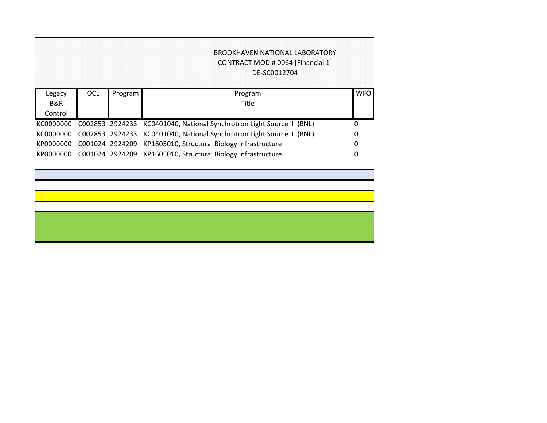## BROOKHAVEN NATIONAL LABORATORY CONTRACT MOD # 0064 [Financial 1] DE-SC0012704

| Legacy    | OCL | Program | Program                                                               | <b>WFO</b> |
|-----------|-----|---------|-----------------------------------------------------------------------|------------|
| B&R       |     |         | Title                                                                 |            |
| Control   |     |         |                                                                       |            |
| KC0000000 |     |         | C002853 2924233 KC0401040, National Synchrotron Light Source II (BNL) |            |
| KC0000000 |     |         | C002853 2924233 KC0401040, National Synchrotron Light Source II (BNL) | 0          |
| KP0000000 |     |         | C001024 2924209 KP1605010, Structural Biology Infrastructure          |            |
| KP0000000 |     |         | C001024 2924209 KP1605010, Structural Biology Infrastructure          |            |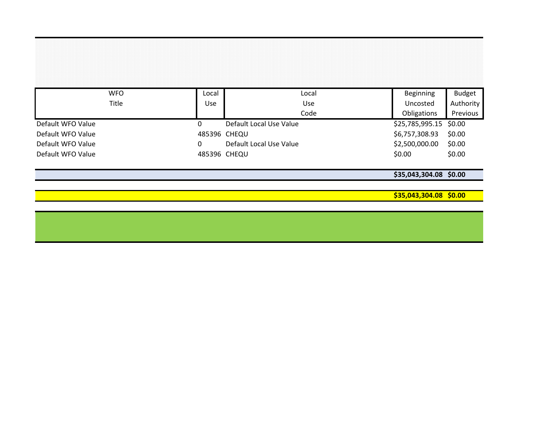| <b>WFO</b>        | Local        | Local                   | Beginning              | <b>Budget</b> |
|-------------------|--------------|-------------------------|------------------------|---------------|
| Title             | Use          | Use                     | Uncosted               | Authority     |
|                   |              | Code                    | Obligations            | Previous      |
| Default WFO Value |              | Default Local Use Value | \$25,785,995.15 \$0.00 |               |
| Default WFO Value | 485396 CHEQU |                         | \$6,757,308.93         | \$0.00        |
| Default WFO Value |              | Default Local Use Value | \$2,500,000.00         | \$0.00        |
| Default WFO Value | 485396 CHEQU |                         | \$0.00                 | \$0.00        |

**\$35,043,304.08 \$0.00**

**\$35,043,304.08 \$0.00**